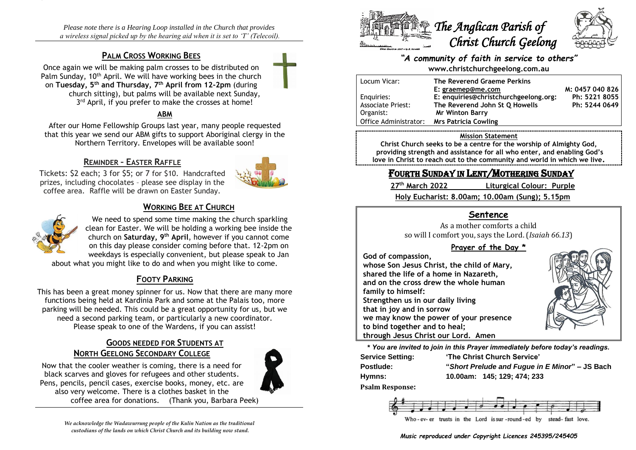*Please note there is a Hearing Loop installed in the Church that provides a wireless signal picked up by the hearing aid when it is set to 'T' (Telecoil).*

# **PALM CROSS WORKING BEES**

Once again we will be making palm crosses to be distributed on Palm Sunday, 10<sup>th</sup> April. We will have working bees in the church on **Tuesday, 5th and Thursday, 7th April from 12-2pm** (during church sitting), but palms will be available next Sunday, 3<sup>rd</sup> April, if you prefer to make the crosses at home!

### **ABM**

After our Home Fellowship Groups last year, many people requested that this year we send our ABM gifts to support Aboriginal clergy in the Northern Territory. Envelopes will be available soon!

# **REMINDER – EASTER RAFFLE**



Tickets: \$2 each; 3 for \$5; or 7 for \$10. Handcrafted prizes, including chocolates – please see display in the coffee area. Raffle will be drawn on Easter Sunday.

# **WORKING BEE AT CHURCH**



We need to spend some time making the church sparkling clean for Easter. We will be holding a working bee inside the church on **Saturday, 9th April**, however if you cannot come on this day please consider coming before that. 12-2pm on weekdays is especially convenient, but please speak to Jan

about what you might like to do and when you might like to come.

# **FOOTY PARKING**

This has been a great money spinner for us. Now that there are many more functions being held at Kardinia Park and some at the Palais too, more parking will be needed. This could be a great opportunity for us, but we need a second parking team, or particularly a new coordinator. Please speak to one of the Wardens, if you can assist!

# **GOODS NEEDED FOR STUDENTS AT NORTH GEELONG SECONDARY COLLEGE**



Now that the cooler weather is coming, there is a need for black scarves and gloves for refugees and other students. Pens, pencils, pencil cases, exercise books, money, etc. are also very welcome. There is a clothes basket in the coffee area for donations. (Thank you, Barbara Peek)





### *"A community of faith in service to others"* **www.christchurchgeelong.com.au**

| Locum Vicar:             | The Reverend Graeme Perkins           |                 |
|--------------------------|---------------------------------------|-----------------|
|                          | E: graemep@me.com                     | M: 0457 040 826 |
| Enguiries:               | E: enquiries@christchurchgeelong.org: | Ph: 5221 8055   |
| <b>Associate Priest:</b> | The Reverend John St Q Howells        | Ph: 5244 0649   |
| Organist:                | <b>Mr Winton Barry</b>                |                 |
| l Office Administrator:  | <b>Mrs Patricia Cowling</b>           |                 |

#### **Mission Statement**

**Christ Church seeks to be a centre for the worship of Almighty God, providing strength and assistance for all who enter, and enabling God's love in Christ to reach out to the community and world in which we live.**

# FOURTH SUNDAY IN LENT/MOTHERING SUNDAY

27<sup>th</sup> March 2022

**th March 2022 Liturgical Colour: Purple**

**Holy Eucharist: 8.00am; 10.00am (Sung); 5.15pm**

# **Sentence**

As a mother comforts a child so will I comfort you, says the Lord. (*Isaiah 66.13*)

### **Prayer of the Day \***

**God of compassion,**

**whose Son Jesus Christ, the child of Mary, shared the life of a home in Nazareth, and on the cross drew the whole human family to himself: Strengthen us in our daily living that in joy and in sorrow we may know the power of your presence to bind together and to heal; through Jesus Christ our Lord. Amen**



**\*** *You are invited to join in this Prayer immediately before today's readings.*

| <b>Service Setting:</b> | 'The Christ Church Service'                    |  |
|-------------------------|------------------------------------------------|--|
| <b>Postlude:</b>        | "Short Prelude and Fugue in E Minor" – JS Bach |  |
| Hymns:                  | 10.00am: 145: 129: 474: 233                    |  |

**Psalm Response:**



*Music reproduced under Copyright Licences 245395/245405*